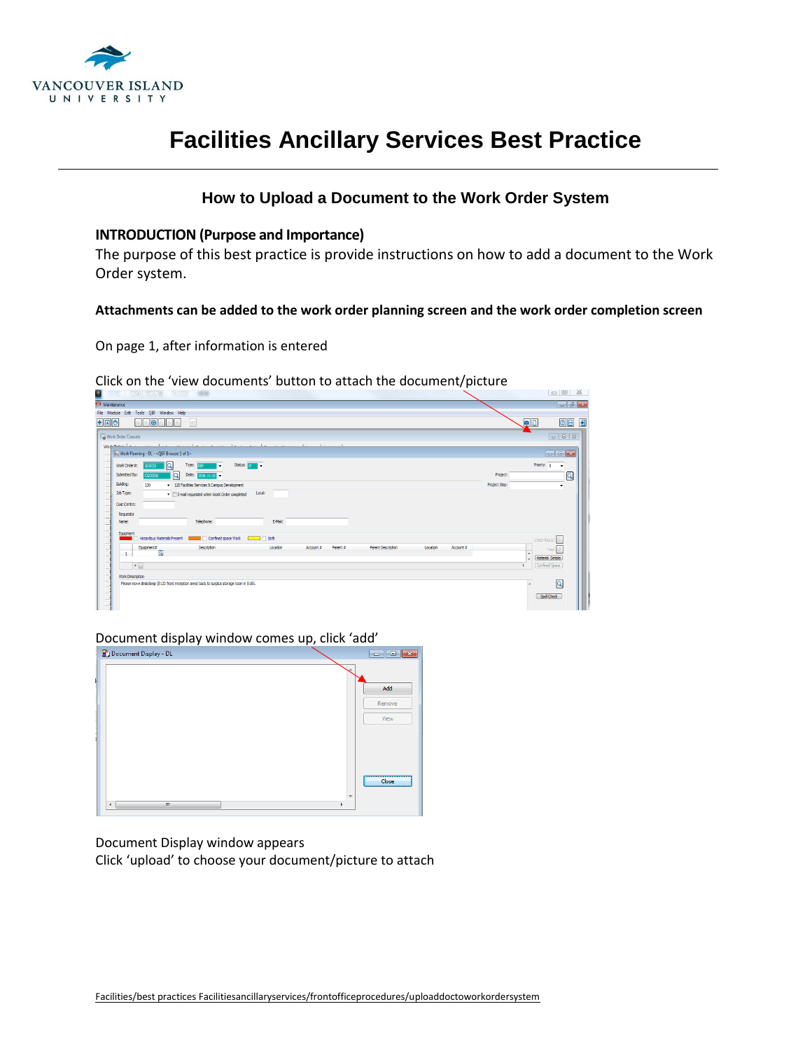

### **How to Upload a Document to the Work Order System**

#### **INTRODUCTION (Purpose and Importance)**

The purpose of this best practice is provide instructions on how to add a document to the Work Order system.

#### **Attachments can be added to the work order planning screen and the work order completion screen**

On page 1, after information is entered

#### Click on the 'view documents' button to attach the document/picture

| Maintenance<br>File Module Edit Tools QBF Window Help<br>QD<br>$F = F$<br>10<br> 41 <br>Work Order Console<br>Workman<br>Work Planning - DL - < QBF Browse 1 of 1><br>i Q<br>Status: p<br>Priority: 3<br>Type: Rep. 11<br>Work Order#:<br>ı٠<br>104725<br>٠<br>$\overline{a}$<br>$\mathsf{Q}$<br>Submitted By:<br>Date: 2016-11-15 -<br>Project:<br><b>CGODDU</b><br>Building:<br>120<br>120 Facilities Services & Campus Development<br>Project Step:<br>$\bullet$<br>Job Type:<br>Local:<br>E-mail requested when Work Order completed<br>Cost Centre:<br>Requestor<br>E-Mail:<br>Telephone:<br>Name:<br>Equipment<br>Hazardous Materials Present<br>Confined space Work <b>De Little State</b> Both<br>Check-lists(s)<br>Equipment#<br>Parent #<br>Parent Description<br>Location<br>Account #<br><b>Description</b><br>Location<br>Account #<br>Tags<br>$\overline{a}$<br>$\mathbf{1}$<br>Material Details<br>٠<br>$\overline{\epsilon}$<br>Confined Space<br>Work Description<br>$\overline{a}$<br>Please move desk/lamp (B120 front reception area) back to surplus storage room in B185.<br>Spell Check | u<br>ncouver Island University - Citrix Receive<br>$\cdots$ | --<br>$\infty$                                                                                           |
|----------------------------------------------------------------------------------------------------------------------------------------------------------------------------------------------------------------------------------------------------------------------------------------------------------------------------------------------------------------------------------------------------------------------------------------------------------------------------------------------------------------------------------------------------------------------------------------------------------------------------------------------------------------------------------------------------------------------------------------------------------------------------------------------------------------------------------------------------------------------------------------------------------------------------------------------------------------------------------------------------------------------------------------------------------------------------------------------------------------|-------------------------------------------------------------|----------------------------------------------------------------------------------------------------------|
|                                                                                                                                                                                                                                                                                                                                                                                                                                                                                                                                                                                                                                                                                                                                                                                                                                                                                                                                                                                                                                                                                                                |                                                             | $-8-$                                                                                                    |
|                                                                                                                                                                                                                                                                                                                                                                                                                                                                                                                                                                                                                                                                                                                                                                                                                                                                                                                                                                                                                                                                                                                |                                                             |                                                                                                          |
|                                                                                                                                                                                                                                                                                                                                                                                                                                                                                                                                                                                                                                                                                                                                                                                                                                                                                                                                                                                                                                                                                                                |                                                             | $\circ$ $\Box$                                                                                           |
|                                                                                                                                                                                                                                                                                                                                                                                                                                                                                                                                                                                                                                                                                                                                                                                                                                                                                                                                                                                                                                                                                                                |                                                             | $\begin{array}{ c c c c c }\n\hline\n\text{I} & \text{I} & \text{II} & \text{II} \\ \hline\n\end{array}$ |
|                                                                                                                                                                                                                                                                                                                                                                                                                                                                                                                                                                                                                                                                                                                                                                                                                                                                                                                                                                                                                                                                                                                |                                                             |                                                                                                          |
|                                                                                                                                                                                                                                                                                                                                                                                                                                                                                                                                                                                                                                                                                                                                                                                                                                                                                                                                                                                                                                                                                                                |                                                             | $\Box$ $\Box$                                                                                            |
|                                                                                                                                                                                                                                                                                                                                                                                                                                                                                                                                                                                                                                                                                                                                                                                                                                                                                                                                                                                                                                                                                                                |                                                             |                                                                                                          |
|                                                                                                                                                                                                                                                                                                                                                                                                                                                                                                                                                                                                                                                                                                                                                                                                                                                                                                                                                                                                                                                                                                                |                                                             |                                                                                                          |
|                                                                                                                                                                                                                                                                                                                                                                                                                                                                                                                                                                                                                                                                                                                                                                                                                                                                                                                                                                                                                                                                                                                |                                                             |                                                                                                          |
|                                                                                                                                                                                                                                                                                                                                                                                                                                                                                                                                                                                                                                                                                                                                                                                                                                                                                                                                                                                                                                                                                                                |                                                             |                                                                                                          |
|                                                                                                                                                                                                                                                                                                                                                                                                                                                                                                                                                                                                                                                                                                                                                                                                                                                                                                                                                                                                                                                                                                                |                                                             |                                                                                                          |
|                                                                                                                                                                                                                                                                                                                                                                                                                                                                                                                                                                                                                                                                                                                                                                                                                                                                                                                                                                                                                                                                                                                |                                                             |                                                                                                          |
|                                                                                                                                                                                                                                                                                                                                                                                                                                                                                                                                                                                                                                                                                                                                                                                                                                                                                                                                                                                                                                                                                                                |                                                             |                                                                                                          |
|                                                                                                                                                                                                                                                                                                                                                                                                                                                                                                                                                                                                                                                                                                                                                                                                                                                                                                                                                                                                                                                                                                                |                                                             |                                                                                                          |
|                                                                                                                                                                                                                                                                                                                                                                                                                                                                                                                                                                                                                                                                                                                                                                                                                                                                                                                                                                                                                                                                                                                |                                                             |                                                                                                          |
|                                                                                                                                                                                                                                                                                                                                                                                                                                                                                                                                                                                                                                                                                                                                                                                                                                                                                                                                                                                                                                                                                                                |                                                             |                                                                                                          |
|                                                                                                                                                                                                                                                                                                                                                                                                                                                                                                                                                                                                                                                                                                                                                                                                                                                                                                                                                                                                                                                                                                                |                                                             |                                                                                                          |
|                                                                                                                                                                                                                                                                                                                                                                                                                                                                                                                                                                                                                                                                                                                                                                                                                                                                                                                                                                                                                                                                                                                |                                                             |                                                                                                          |
|                                                                                                                                                                                                                                                                                                                                                                                                                                                                                                                                                                                                                                                                                                                                                                                                                                                                                                                                                                                                                                                                                                                |                                                             |                                                                                                          |
|                                                                                                                                                                                                                                                                                                                                                                                                                                                                                                                                                                                                                                                                                                                                                                                                                                                                                                                                                                                                                                                                                                                |                                                             |                                                                                                          |
|                                                                                                                                                                                                                                                                                                                                                                                                                                                                                                                                                                                                                                                                                                                                                                                                                                                                                                                                                                                                                                                                                                                |                                                             |                                                                                                          |
|                                                                                                                                                                                                                                                                                                                                                                                                                                                                                                                                                                                                                                                                                                                                                                                                                                                                                                                                                                                                                                                                                                                |                                                             |                                                                                                          |
|                                                                                                                                                                                                                                                                                                                                                                                                                                                                                                                                                                                                                                                                                                                                                                                                                                                                                                                                                                                                                                                                                                                |                                                             |                                                                                                          |
|                                                                                                                                                                                                                                                                                                                                                                                                                                                                                                                                                                                                                                                                                                                                                                                                                                                                                                                                                                                                                                                                                                                |                                                             |                                                                                                          |

Document display window comes up, click 'add'

| Document Display - DL               | <u>Lo le</u><br>$\overline{\mathbf{x}}$ |
|-------------------------------------|-----------------------------------------|
|                                     |                                         |
|                                     | Add                                     |
|                                     |                                         |
|                                     | Remove                                  |
|                                     | View                                    |
|                                     |                                         |
|                                     |                                         |
|                                     |                                         |
|                                     | <br>Close                               |
|                                     |                                         |
| $\mathbf{m}$<br>Þ<br>$\overline{4}$ |                                         |

Document Display window appears

Click 'upload' to choose your document/picture to attach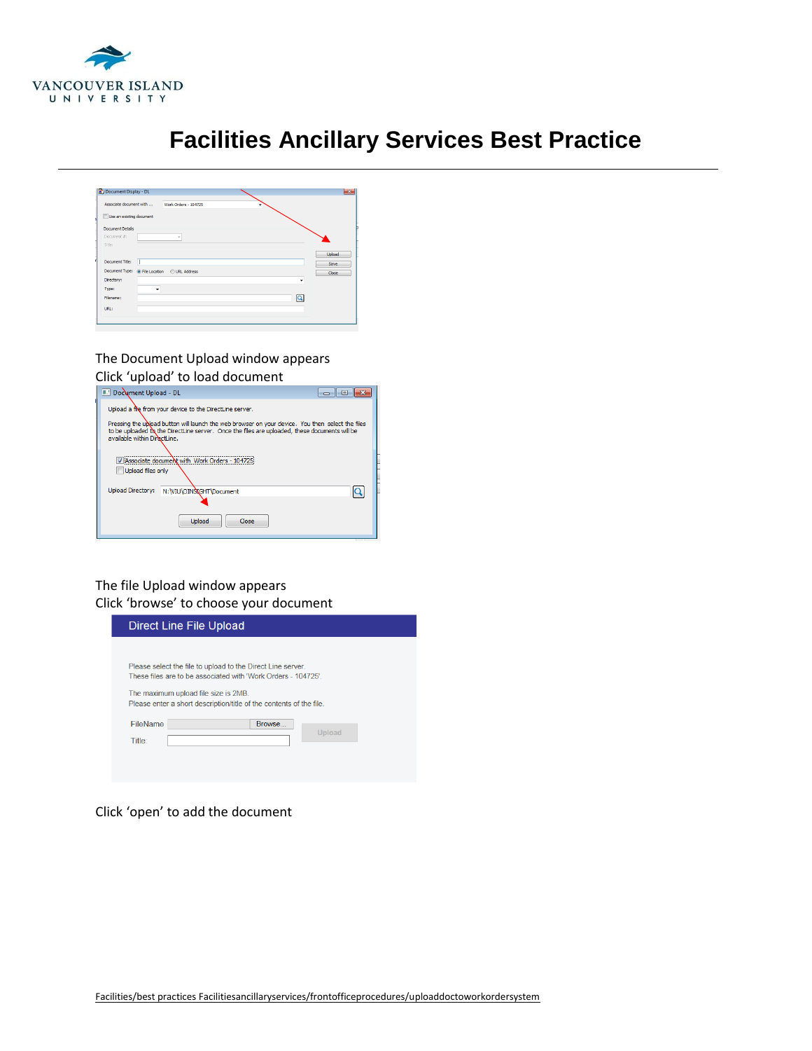

| Associate document with                      | Work Orders - 104725     |                         |
|----------------------------------------------|--------------------------|-------------------------|
| Use an existing document                     |                          |                         |
| <b>Document Details</b>                      |                          |                         |
| Document #:                                  | $\overline{\phantom{a}}$ |                         |
| Title:                                       |                          |                         |
|                                              |                          | <b>Upload</b>           |
| Document Title:<br>П                         |                          | Save                    |
| Document Type: @ File Location @ URL Address |                          | Close                   |
| Directory:                                   |                          | ٠                       |
| Type:                                        | ٠                        |                         |
| Filename:                                    |                          | $\overline{\mathsf{Q}}$ |
| URL:                                         |                          |                         |

### The Document Upload window appears Click 'upload' to load document



### The file Upload window appears Click 'browse' to choose your document

|                                | Direct Line File Upload                                                                                                                                                                                                                    |
|--------------------------------|--------------------------------------------------------------------------------------------------------------------------------------------------------------------------------------------------------------------------------------------|
|                                | Please select the file to upload to the Direct Line server.<br>These files are to be associated with 'Work Orders - 104725'<br>The maximum upload file size is 2MB.<br>Please enter a short description/title of the contents of the file. |
| FileName<br>Title <sup>-</sup> | Browse<br>Upload                                                                                                                                                                                                                           |

#### Click 'open' to add the document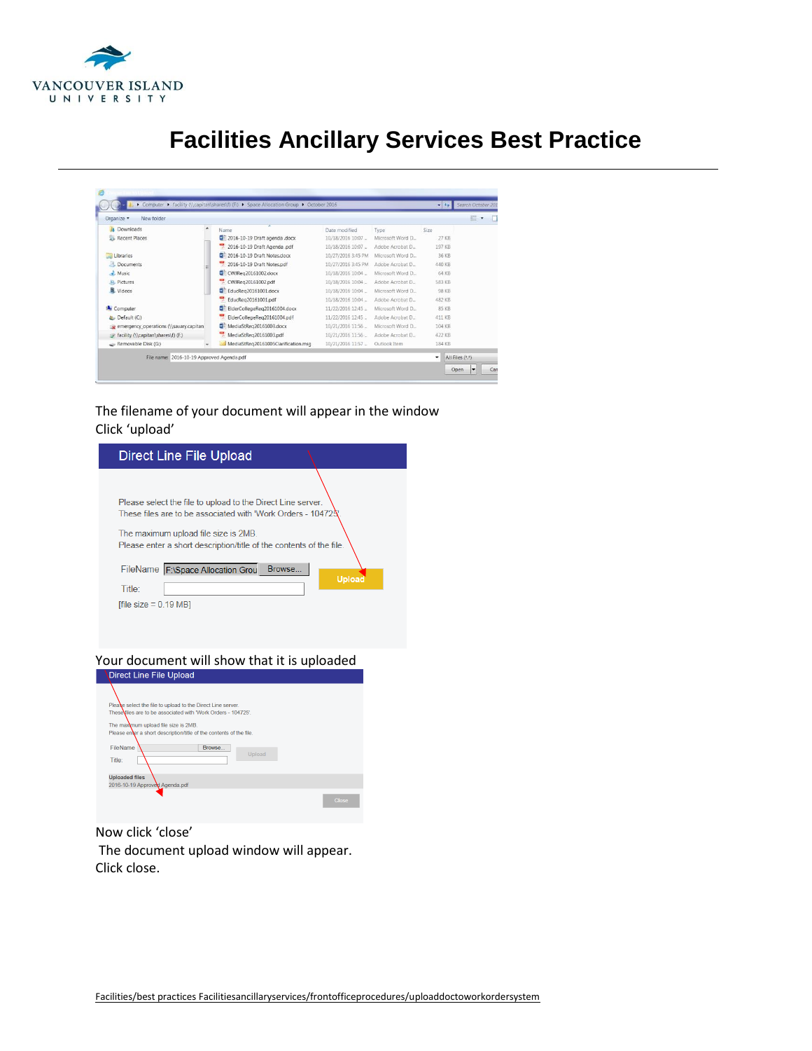

| Organize -<br>New folder                  |        |                                     |                    |                   |               | 胆<br>٠         |
|-------------------------------------------|--------|-------------------------------------|--------------------|-------------------|---------------|----------------|
| Downloads<br>la.                          | ۸      | Name                                | Date modified      | Type              | Size          |                |
| Recent Places                             |        | 2016-10-19 Draft agenda .docx       | 10/18/2016 10:07   | Microsoft Word D. | 27 KB         |                |
|                                           |        | 2016-10-19 Draft Agenda .pdf        | 10/18/2016 10:07.  | Adobe Acrobat D   | 197 KB        |                |
| Libraries                                 |        | 2016-10-19 Draft Notes.docx         | 10/27/2016 3:45 PM | Microsoft Word D. | 36 KB         |                |
| R<br>Documents                            |        | 2016-10-19 Draft Notes.pdf          | 10/27/2016 3:45 PM | Adobe Acrobat D   | 440 KB        |                |
| Music                                     |        | CWJReg20161002.docx                 | 10/18/2016 10:04   | Microsoft Word D. | 64 KB         |                |
| Pictures                                  |        | CWJReg20161002.pdf<br>v.            | 10/18/2016 10:04   | Adobe Acrobat D   | <b>583 KB</b> |                |
| Videos                                    |        | EducReg20161001.docx                | 10/18/2016 10:04   | Microsoft Word D. | 98 KB         |                |
|                                           |        | EducRea20161001.pdf                 | 10/18/2016 10:04   | Adobe Acrobat D   | 482 KB        |                |
| <b>A</b> Computer                         |        | ElderCollegeReg20161004.docx        | 11/22/2016 12:45   | Microsoft Word D. | 85 KB         |                |
| Default (C:)                              |        | ElderCollegeReg20161004.pdf         | 11/22/2016 12:45   | Adobe Acrobat D.  | 411 KB        |                |
| emergency_operations (\\savary.capitan)   |        | MediaStReg20161003.docx             | 10/21/2016 11:56   | Microsoft Word D. | 104 KB        |                |
| facility (\\capitan\shares\f) (F;)        |        | 뻇<br>MediaStReg20161003.pdf         | 10/21/2016 11:56   | Adobe Acrobat D., | 422 KB        |                |
| Removable Disk (G:)                       | $\sim$ | MediaStReg20161005Clarification.msg | 10/21/2016 11:57   | Outlook Item      | 184 KB        |                |
| File name: 2016-10-19 Approved Agenda.pdf |        |                                     |                    |                   | ۰             | All Files (**) |

### The filename of your document will appear in the window Click 'upload'

| Direct Line File Upload                                                                                                                                                                                                                    |
|--------------------------------------------------------------------------------------------------------------------------------------------------------------------------------------------------------------------------------------------|
| Please select the file to upload to the Direct Line server.<br>These files are to be associated with 'Work Orders - 10472&'<br>The maximum upload file size is 2MB.<br>Please enter a short description/title of the contents of the file. |
| FileName F:\Space Allocation Grou<br>Browse<br>Upload<br>Title:<br>[file size $= 0.19 \text{ MB}$ ]                                                                                                                                        |

# Your document will show that it is uploaded<br>
Direct Line File Upload



Now click 'close' The document upload window will appear. Click close.